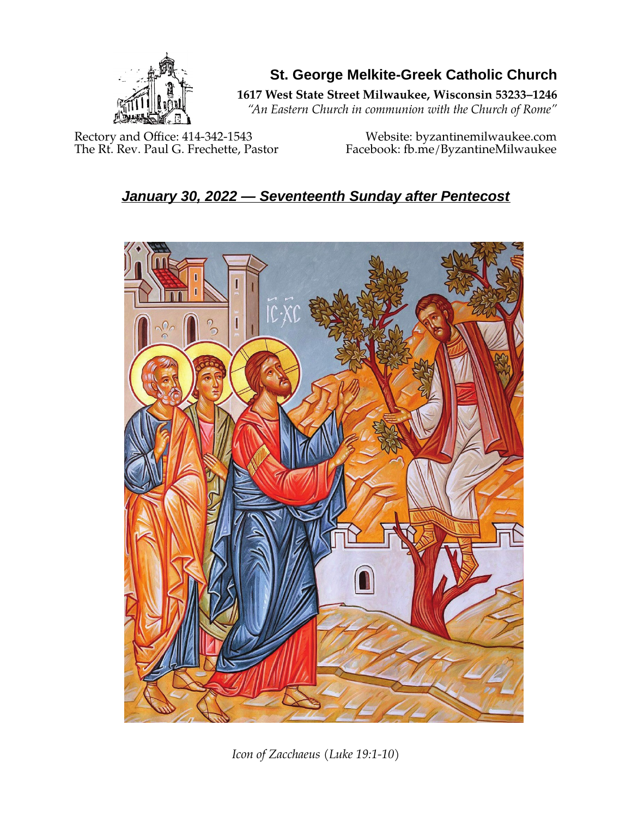

**St. George Melkite-Greek Catholic Church**

**1617 West State Street Milwaukee, Wisconsin 53233–1246**

*"An Eastern Church in communion with the Church of Rome"*

Rectory and Office: 414-342-1543 Website: [byzantinemilwaukee.com](https://byzantinemilwaukee.com/)

The Rt. Rev. Paul G. Frechette, Pastor Facebook: fb.me/ByzantineMilwaukee

# *January 30, 2022 — Seventeenth Sunday after Pentecost*



*Icon of Zacchaeus (Luke 19:1-10)*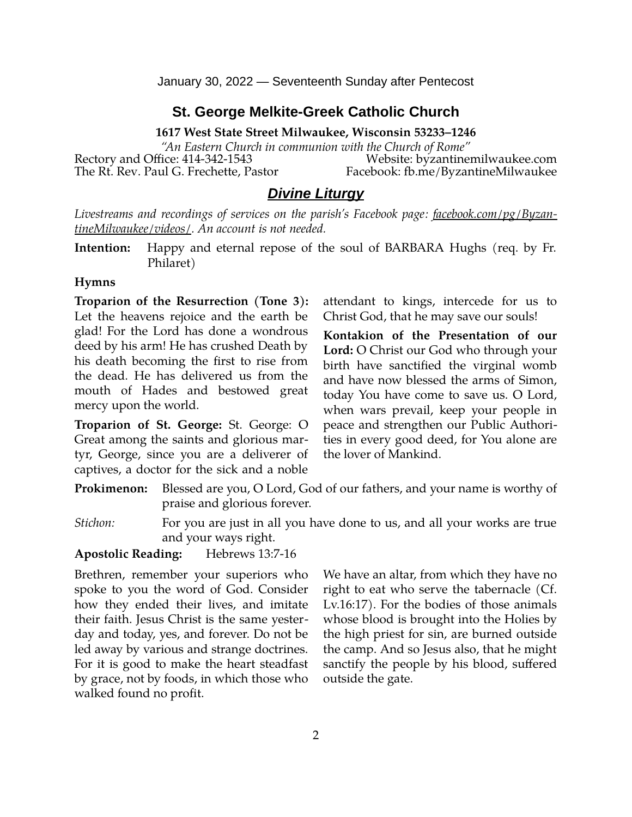January 30, 2022 — Seventeenth Sunday after Pentecost

### **St. George Melkite-Greek Catholic Church**

**1617 West State Street Milwaukee, Wisconsin 53233–1246**

*"An Eastern Church in communion with the Church of Rome"* Rectory and Office: 414-342-1543 Website: [byzantinemilwaukee.com](https://byzantinemilwaukee.com/) The Rt. Rev. Paul G. Frechette, Pastor Facebook: fb.me/ByzantineMilwaukee

### *Divine Liturgy*

*Livestreams and recordings of services on the parish's Facebook page: [facebook.com/pg/Byzan](https://www.facebook.com/pg/ByzantineMilwaukee/videos/)[tineMilwaukee/videos/.](https://www.facebook.com/pg/ByzantineMilwaukee/videos/) An account is not needed.*

**Intention:** Happy and eternal repose of the soul of BARBARA Hughs (req. by Fr. Philaret)

#### **Hymns**

**Troparion of the Resurrection (Tone 3):** Let the heavens rejoice and the earth be glad! For the Lord has done a wondrous deed by his arm! He has crushed Death by his death becoming the first to rise from the dead. He has delivered us from the mouth of Hades and bestowed great mercy upon the world.

**Troparion of St. George:** St. George: O Great among the saints and glorious martyr, George, since you are a deliverer of captives, a doctor for the sick and a noble

attendant to kings, intercede for us to Christ God, that he may save our souls!

**Kontakion of the Presentation of our Lord:** O Christ our God who through your birth have sanctified the virginal womb and have now blessed the arms of Simon, today You have come to save us. O Lord, when wars prevail, keep your people in peace and strengthen our Public Authorities in every good deed, for You alone are the lover of Mankind.

**Prokimenon:** Blessed are you, O Lord, God of our fathers, and your name is worthy of praise and glorious forever.

*Stichon:* For you are just in all you have done to us, and all your works are true and your ways right.

**Apostolic Reading:** Hebrews 13:7-16

Brethren, remember your superiors who spoke to you the word of God. Consider how they ended their lives, and imitate their faith. Jesus Christ is the same yesterday and today, yes, and forever. Do not be led away by various and strange doctrines. For it is good to make the heart steadfast by grace, not by foods, in which those who walked found no profit.

We have an altar, from which they have no right to eat who serve the tabernacle (Cf. Lv.16:17). For the bodies of those animals whose blood is brought into the Holies by the high priest for sin, are burned outside the camp. And so Jesus also, that he might sanctify the people by his blood, suffered outside the gate.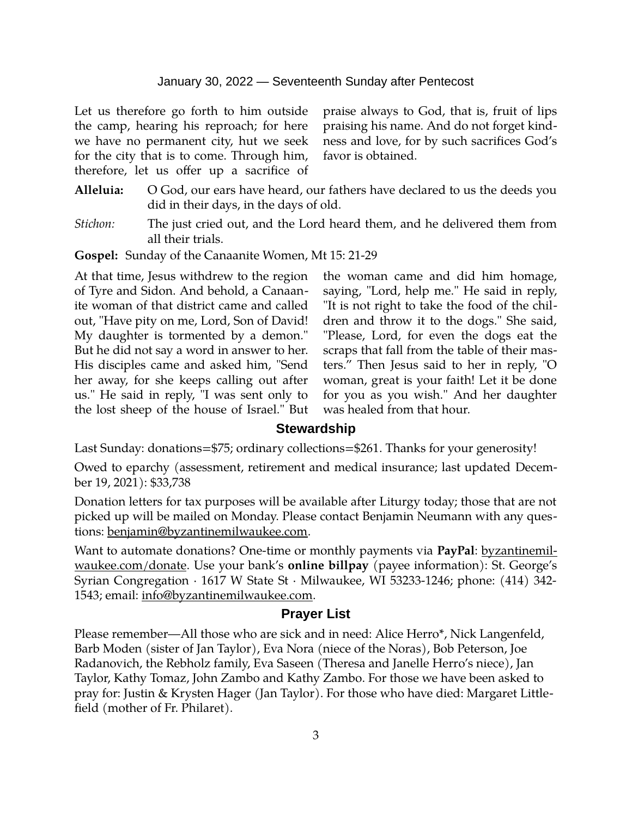Let us therefore go forth to him outside the camp, hearing his reproach; for here we have no permanent city, hut we seek for the city that is to come. Through him, therefore, let us offer up a sacrifice of praise always to God, that is, fruit of lips praising his name. And do not forget kindness and love, for by such sacrifices God's favor is obtained.

- **Alleluia:** O God, our ears have heard, our fathers have declared to us the deeds you did in their days, in the days of old.
- *Stichon:* The just cried out, and the Lord heard them, and he delivered them from all their trials.

**Gospel:** Sunday of the Canaanite Women, Mt 15: 21-29

At that time, Jesus withdrew to the region of Tyre and Sidon. And behold, a Canaanite woman of that district came and called out, "Have pity on me, Lord, Son of David! My daughter is tormented by a demon." But he did not say a word in answer to her. His disciples came and asked him, "Send her away, for she keeps calling out after us." He said in reply, "I was sent only to the lost sheep of the house of Israel." But

the woman came and did him homage, saying, "Lord, help me." He said in reply, "It is not right to take the food of the children and throw it to the dogs." She said, "Please, Lord, for even the dogs eat the scraps that fall from the table of their masters." Then Jesus said to her in reply, "O woman, great is your faith! Let it be done for you as you wish." And her daughter was healed from that hour.

#### **Stewardship**

Last Sunday: donations=\$75; ordinary collections=\$261. Thanks for your generosity!

Owed to eparchy (assessment, retirement and medical insurance; last updated December 19, 2021): \$33,738

Donation letters for tax purposes will be available after Liturgy today; those that are not picked up will be mailed on Monday. Please contact Benjamin Neumann with any questions: [benjamin@byzantinemilwaukee.com](mailto:benjamin@byzantinemilwaukee.com).

Want to automate donations? One-time or monthly payments via **PayPal**: [byzantinemil](https://byzantinemilwaukee.com/donate/)[waukee.com/donate.](https://byzantinemilwaukee.com/donate/) Use your bank's **online billpay** (payee information): St. George's Syrian Congregation · 1617 W State St · Milwaukee, WI 53233-1246; phone: (414) 342- 1543; email: [info@byzantinemilwaukee.com](mailto:info@byzantinemilwaukee.com).

#### **Prayer List**

Please remember—All those who are sick and in need: Alice Herro\*, Nick Langenfeld, Barb Moden (sister of Jan Taylor), Eva Nora (niece of the Noras), Bob Peterson, Joe Radanovich, the Rebholz family, Eva Saseen (Theresa and Janelle Herro's niece), Jan Taylor, Kathy Tomaz, John Zambo and Kathy Zambo. For those we have been asked to pray for: Justin & Krysten Hager (Jan Taylor). For those who have died: Margaret Littlefield (mother of Fr. Philaret).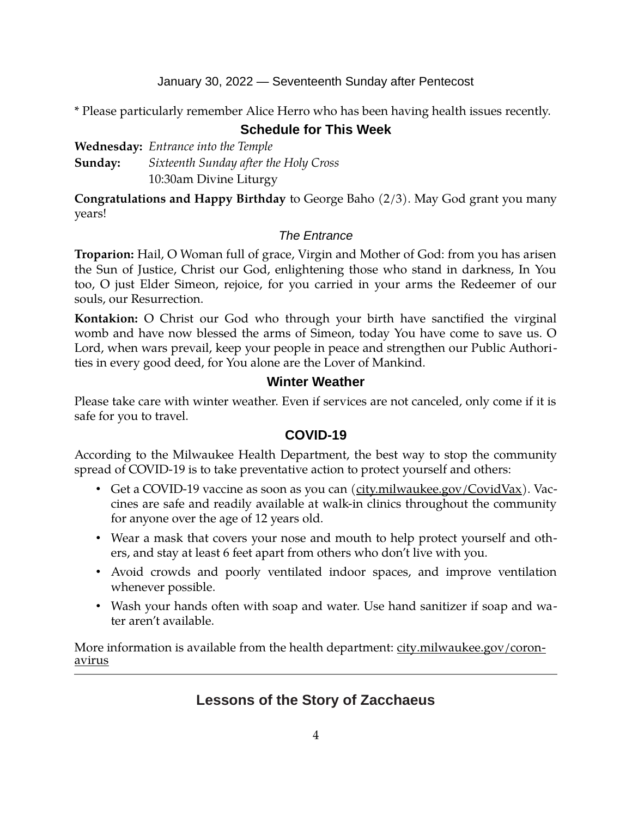January 30, 2022 — Seventeenth Sunday after Pentecost

\* Please particularly remember Alice Herro who has been having health issues recently.

### **Schedule for This Week**

**Wednesday:** *Entrance into the Temple* **Sunday:** *Sixteenth Sunday after the Holy Cross* 10:30am Divine Liturgy

**Congratulations and Happy Birthday** to George Baho (2/3). May God grant you many years!

### *The Entrance*

**Troparion:** Hail, O Woman full of grace, Virgin and Mother of God: from you has arisen the Sun of Justice, Christ our God, enlightening those who stand in darkness, In You too, O just Elder Simeon, rejoice, for you carried in your arms the Redeemer of our souls, our Resurrection.

**Kontakion:** O Christ our God who through your birth have sanctified the virginal womb and have now blessed the arms of Simeon, today You have come to save us. O Lord, when wars prevail, keep your people in peace and strengthen our Public Authorities in every good deed, for You alone are the Lover of Mankind.

### **Winter Weather**

Please take care with winter weather. Even if services are not canceled, only come if it is safe for you to travel.

### **[COVID-19](mailto:j1ordan2000@yahoo.com)**

According to the Milwaukee Health Department, the best way to stop the community spread of COVID-19 is to take preventative action to protect yourself and others:

- Get a COVID-19 vaccine as soon as you can [\(city.milwaukee.gov/CovidVax\)](https://city.milwaukee.gov/CovidVax). Vaccines are safe and readily available at walk-in clinics throughout the community for anyone over the age of 12 years old.
- Wear a mask that covers your nose and mouth to help protect yourself and others, and stay at least 6 feet apart from others who don't live with you.
- Avoid crowds and poorly ventilated indoor spaces, and improve ventilation whenever possible.
- Wash your hands often with soap and water. Use hand sanitizer if soap and water aren't available.

More information is available from the health department: <u>city.milwaukee.gov/coron-</u> [avirus](https://city.milwaukee.gov/coronavirus)

## **Lessons of the Story of Zacchaeus**